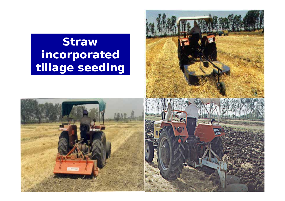### **Straw** incorporated tillage seeding



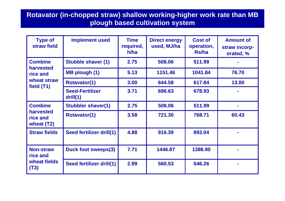#### **Rotavator (in-chopped straw) shallow working-higher work rate than MB plough based cultivation system**

| <b>Type of</b><br>straw field                         | <b>Implement used</b>              | <b>Time</b><br>required,<br>h/ha | <b>Direct energy</b><br>used, MJ/ha | <b>Cost of</b><br>operation,<br>Rs/ha | <b>Amount of</b><br>straw incorp-<br>orated, % |
|-------------------------------------------------------|------------------------------------|----------------------------------|-------------------------------------|---------------------------------------|------------------------------------------------|
| <b>Combine</b>                                        | <b>Stubble shaver (1)</b>          | 2.75                             | 508.06                              | 511.99                                |                                                |
| harvested<br>rice and                                 | <b>MB plough (1)</b>               | 5.13                             | 1151.46                             | 1041.84                               | 76.70                                          |
| wheat straw<br>field (T1)                             | <b>Rotavator(1)</b>                | 3.00                             | 644.58                              | 617.84                                | 13.00                                          |
|                                                       | <b>Seed-Fertilizer</b><br>drill(1) | 3.71                             | 696.63                              | 678.93                                |                                                |
| <b>Combine</b><br>harvested<br>rice and<br>wheat (T2) | <b>Stubbler shaver(1)</b>          | 2.75                             | 508.06                              | 511.99                                |                                                |
|                                                       | <b>Rotavator(1)</b>                | 3.58                             | 721.30                              | 768.71                                | 60.43                                          |
| <b>Straw fields</b>                                   | Seed fertilizer drill(1)           | 4.88                             | 916.39                              | 893.04                                |                                                |
| <b>Non-straw</b><br>rice and<br>wheat fields<br>(T3)  | <b>Duck foot sweeps(3)</b>         | 7.71                             | 1446.87                             | 1386.90                               |                                                |
|                                                       | Seed fertilizer drill(1)           | 2.99                             | 560.53                              | 546.26                                |                                                |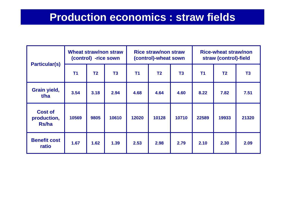### **Production economics : straw fields**

| <b>Particular(s)</b>                   | <b>Wheat straw/non straw</b><br>(control) -rice sown |                |                | <b>Rice straw/non straw</b><br>(control)-wheat sown |                |       | <b>Rice-wheat straw/non</b><br>straw (control)-field |                |       |
|----------------------------------------|------------------------------------------------------|----------------|----------------|-----------------------------------------------------|----------------|-------|------------------------------------------------------|----------------|-------|
|                                        | T <sub>1</sub>                                       | T <sub>2</sub> | T <sub>3</sub> | T <sub>1</sub>                                      | T <sub>2</sub> | T3    | <b>T1</b>                                            | T <sub>2</sub> | T3    |
| Grain yield,<br>t/ha                   | 3.54                                                 | 3.18           | 2.94           | 4.68                                                | 4.64           | 4.60  | 8.22                                                 | 7.82           | 7.51  |
| <b>Cost of</b><br>production,<br>Rs/ha | 10569                                                | 9805           | 10610          | 12020                                               | 10128          | 10710 | 22589                                                | 19933          | 21320 |
| <b>Benefit cost</b><br>ratio           | 1.67                                                 | 1.62           | 1.39           | 2.53                                                | 2.98           | 2.79  | 2.10                                                 | 2.30           | 2.09  |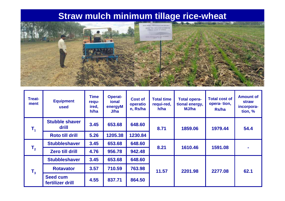#### **Straw mulch minimum tillage rice-wheat**



| <b>Treat-</b><br>ment | <b>Equipment</b><br>used            | Time<br>requ-<br>ired,<br>h/ha | <b>Operat-</b><br>ional<br>energyM<br>J/ha | <b>Cost of</b><br>operatio<br>n, Rs/ha | <b>Total time</b><br>requi-red,<br>h/ha | <b>Total opera-</b><br>tional energy,<br>MJ/ha | <b>Total cost of</b><br>opera-tion,<br>Rs/ha | <b>Amount of</b><br>straw<br>incorpora-<br>tion, % |
|-----------------------|-------------------------------------|--------------------------------|--------------------------------------------|----------------------------------------|-----------------------------------------|------------------------------------------------|----------------------------------------------|----------------------------------------------------|
| $\mathsf{T}_4$        | <b>Stubble shaver</b><br>drill      | 3.45                           | 653.68                                     | 648.60                                 | 8.71                                    | 1859.06                                        | 1979.44                                      | 54.4                                               |
|                       | <b>Roto till drill</b>              | 5.26                           | 1205.38                                    | 1230.84                                |                                         |                                                |                                              |                                                    |
| $T_{2}$               | <b>Stubbleshaver</b>                | 3.45                           | 653.68                                     | 648.60                                 | 8.21                                    | 1610.46                                        | 1591.08                                      | $\blacksquare$                                     |
|                       | <b>Zero till drill</b>              | 4.76                           | 956.78                                     | 942.48                                 |                                         |                                                |                                              |                                                    |
| $T_3$                 | <b>Stubbleshaver</b>                | 3.45                           | 653.68                                     | 648.60                                 |                                         | 2201.98                                        | 2277.08                                      | 62.1                                               |
|                       | <b>Rotavator</b>                    | 3.57                           | 710.59                                     | 763.98                                 | 11.57                                   |                                                |                                              |                                                    |
|                       | <b>Seed cum</b><br>fertilizer drill | 4.55                           | 837.71                                     | 864.50                                 |                                         |                                                |                                              |                                                    |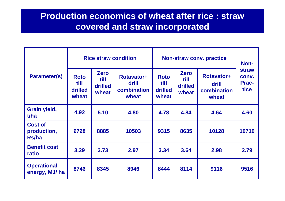#### **Production economics of wheat after rice : straw covered and straw incorporated**

| <b>Parameter(s)</b>                    |                                         |                                         | <b>Rice straw condition</b>                        | <b>Non-straw conv. practice</b>         | Non-                                    |                                                    |                                                      |
|----------------------------------------|-----------------------------------------|-----------------------------------------|----------------------------------------------------|-----------------------------------------|-----------------------------------------|----------------------------------------------------|------------------------------------------------------|
|                                        | <b>Roto</b><br>till<br>drilled<br>wheat | <b>Zero</b><br>till<br>drilled<br>wheat | <b>Rotavator+</b><br>drill<br>combination<br>wheat | <b>Roto</b><br>till<br>drilled<br>wheat | <b>Zero</b><br>till<br>drilled<br>wheat | <b>Rotavator+</b><br>drill<br>combination<br>wheat | <b>straw</b><br>conv.<br><b>Prac-</b><br><b>tice</b> |
| Grain yield,<br>t/ha                   | 4.92                                    | 5.10                                    | 4.80                                               | 4.78                                    | 4.84                                    | 4.64                                               | 4.60                                                 |
| <b>Cost of</b><br>production,<br>Rs/ha | 9728                                    | 8885                                    | 10503                                              | 9315                                    | 8635                                    | 10128                                              | 10710                                                |
| <b>Benefit cost</b><br>ratio           | 3.29                                    | 3.73                                    | 2.97                                               | 3.34                                    | 3.64                                    | 2.98                                               | 2.79                                                 |
| <b>Operational</b><br>energy, MJ/ ha   | 8746                                    | 8345                                    | 8946                                               | 8444                                    | 8114                                    | 9116                                               | 9516                                                 |